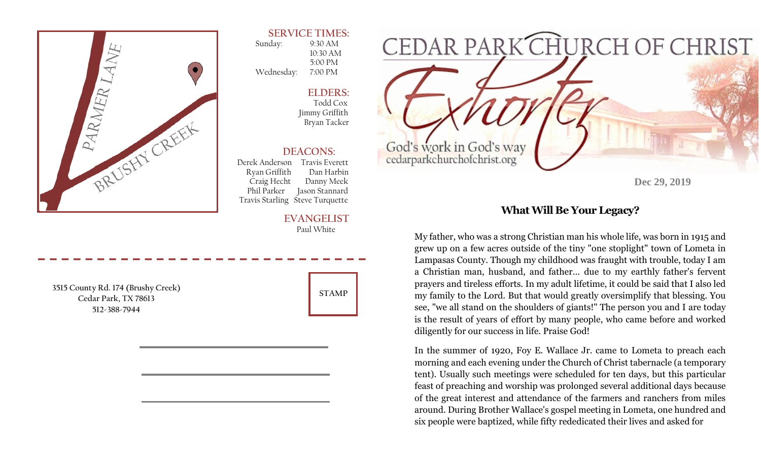

### **SERVICE TIMES:**

 Sunday: 9:30 AM 10:30 AM 5:00 PM Wednesday: 7:00 PM

> **ELDERS:**  Todd Cox Jimmy Griffith Bryan Tacker

### **DEACONS:**

 Derek Anderson Travis Everett Ryan Griffith Dan Harbin Craig Hecht Danny Meek Phil Parker Jason Stannard Travis Starling Steve Turquette

#### **EVANGELIST** Paul White

**3515 County Rd. 174 (Brushy Creek) Cedar Park, TX 78613 512-388-7944** 



**Dec 29, 2019** 

## **What Will Be Your Legacy?**

My father, who was a strong Christian man his whole life, was born in 1915 and grew up on a few acres outside of the tiny "one stoplight" town of Lometa in Lampasas County. Though my childhood was fraught with trouble, today I am a Christian man, husband, and father… due to my earthly father's fervent prayers and tireless efforts. In my adult lifetime, it could be said that I also led my family to the Lord. But that would greatly oversimplify that blessing. You see, "we all stand on the shoulders of giants!" The person you and I are today is the result of years of effort by many people, who came before and worked diligently for our success in life. Praise God!

In the summer of 1920, Foy E. Wallace Jr. came to Lometa to preach each morning and each evening under the Church of Christ tabernacle (a temporary tent). Usually such meetings were scheduled for ten days, but this particular feast of preaching and worship was prolonged several additional days because of the great interest and attendance of the farmers and ranchers from miles around. During Brother Wallace's gospel meeting in Lometa, one hundred and six people were baptized, while fifty rededicated their lives and asked for